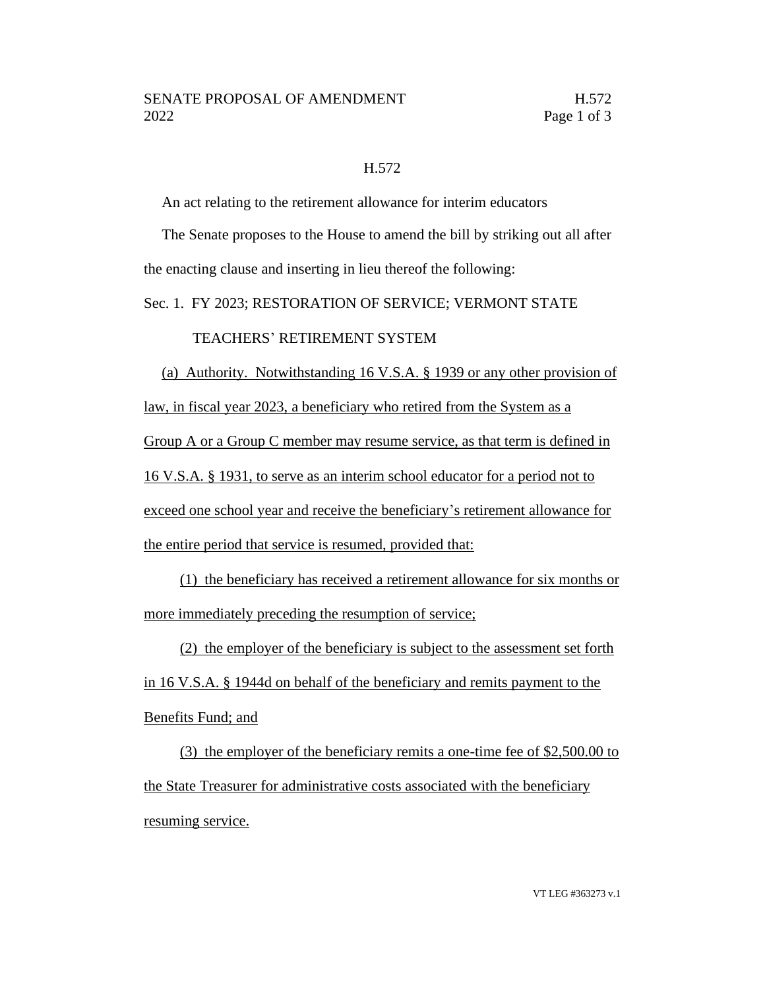## H.572

An act relating to the retirement allowance for interim educators

The Senate proposes to the House to amend the bill by striking out all after the enacting clause and inserting in lieu thereof the following:

Sec. 1. FY 2023; RESTORATION OF SERVICE; VERMONT STATE

## TEACHERS' RETIREMENT SYSTEM

(a) Authority. Notwithstanding 16 V.S.A. § 1939 or any other provision of law, in fiscal year 2023, a beneficiary who retired from the System as a Group A or a Group C member may resume service, as that term is defined in 16 V.S.A. § 1931, to serve as an interim school educator for a period not to exceed one school year and receive the beneficiary's retirement allowance for the entire period that service is resumed, provided that:

(1) the beneficiary has received a retirement allowance for six months or more immediately preceding the resumption of service;

(2) the employer of the beneficiary is subject to the assessment set forth in 16 V.S.A. § 1944d on behalf of the beneficiary and remits payment to the Benefits Fund; and

(3) the employer of the beneficiary remits a one-time fee of \$2,500.00 to the State Treasurer for administrative costs associated with the beneficiary resuming service.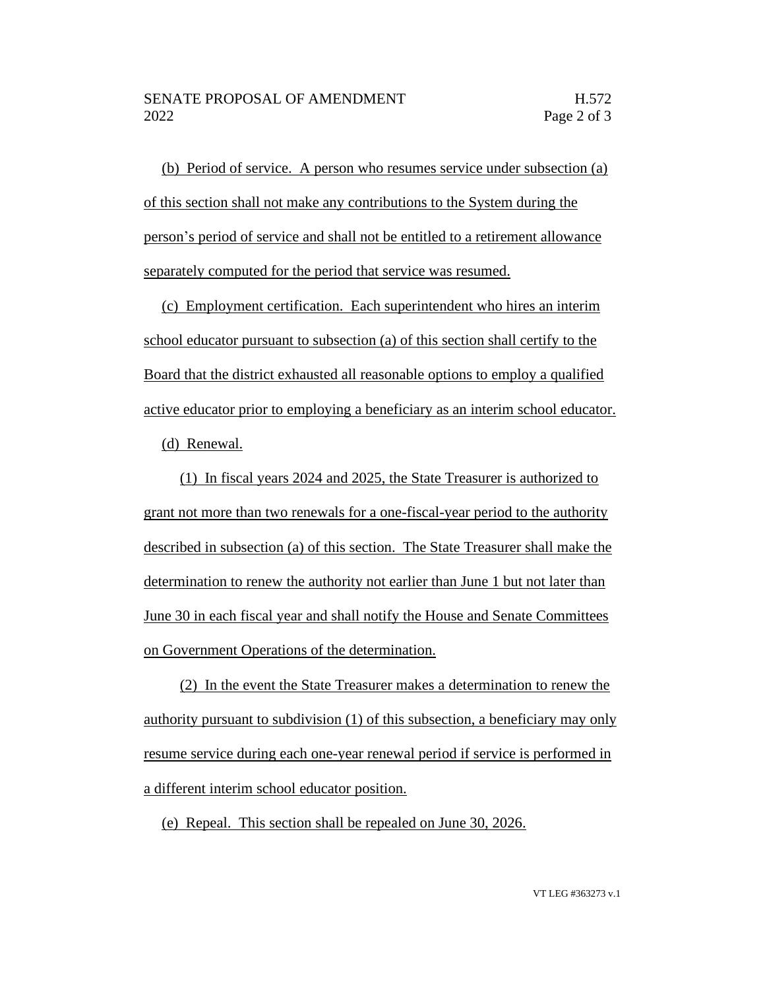(b) Period of service. A person who resumes service under subsection (a) of this section shall not make any contributions to the System during the person's period of service and shall not be entitled to a retirement allowance separately computed for the period that service was resumed.

(c) Employment certification. Each superintendent who hires an interim school educator pursuant to subsection (a) of this section shall certify to the Board that the district exhausted all reasonable options to employ a qualified active educator prior to employing a beneficiary as an interim school educator.

(d) Renewal.

(1) In fiscal years 2024 and 2025, the State Treasurer is authorized to grant not more than two renewals for a one-fiscal-year period to the authority described in subsection (a) of this section. The State Treasurer shall make the determination to renew the authority not earlier than June 1 but not later than June 30 in each fiscal year and shall notify the House and Senate Committees on Government Operations of the determination.

(2) In the event the State Treasurer makes a determination to renew the authority pursuant to subdivision (1) of this subsection, a beneficiary may only resume service during each one-year renewal period if service is performed in a different interim school educator position.

(e) Repeal. This section shall be repealed on June 30, 2026.